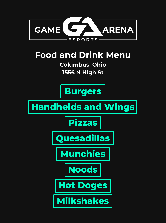<span id="page-0-0"></span>

### **Food and Drink Menu**

**Columbus, Ohio 1556 N High St**









**[Munchies](#page-5-0)**





**[Milkshakes](#page-8-0)**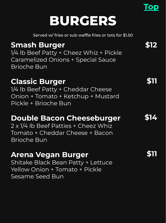## **BURGERS**

Served w/ fries or sub waffle fries or tots for \$1.50

### <span id="page-1-0"></span>**Smash Burger**

1/4 lb Beef Patty + Cheez Whiz + Pickle Caramelized Onions + Special Sauce Brioche Bun

#### **Classic Burger**

1/4 lb Beef Patty + Cheddar Cheese Onion + Tomato + Ketchup + Mustard Pickle + Brioche Bun

#### **Double Bacon Cheeseburger**

2 x 1/4 lb Beef Patties + Cheez Whiz Tomato + Cheddar Cheese + Bacon Brioche Bun

#### **Arena Vegan Burger**

Shitake Black Bean Patty + Lettuce Yellow Onion + Tomato + Pickle Sesame Seed Bun

**\$14**

**\$12**

**[Top](#page-0-0)**

**\$11**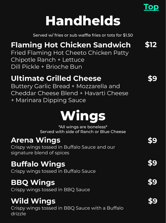# **Handhelds**

Served w/ fries or sub waffle fries or tots for \$1.50

### <span id="page-2-0"></span>**Flaming Hot Chicken Sandwich**

Fried Flaming Hot Cheeto Chicken Patty Chipotle Ranch + Lettuce Dill Pickle + Brioche Bun

### **Ultimate Grilled Cheese**

Buttery Garlic Bread + Mozzarella and Cheddar Cheese Blend + Havarti Cheese + Marinara Dipping Sauce

# **Wings**

\*All wings are boneless\* Served with side of Ranch or Blue Cheese

### **Arena Wings**

Crispy wings tossed in Buffalo Sauce and our signature blend of spices

### **Buffalo Wings**

Crispy wings tossed in Buffalo Sauce

### **BBQ Wings**

Crispy wings tossed in BBQ Sauce

### **Wild Wings**

Crispy wings tossed in BBQ Sauce with a Buffalo drizzle

**\$9**

**\$12**

**[Top](#page-0-0)**

**\$9**

**\$9**

**\$9**

**\$9**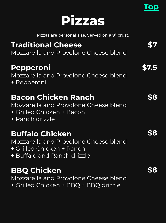

Pizzas are personal size. Served on a 9" crust.

### <span id="page-3-0"></span>**Traditional Cheese**

Mozzarella and Provolone Cheese blend

#### **Pepperoni**

Mozzarella and Provolone Cheese blend + Pepperoni

#### **Bacon Chicken Ranch**

Mozzarella and Provolone Cheese blend + Grilled Chicken + Bacon + Ranch drizzle

### **Buffalo Chicken**

Mozzarella and Provolone Cheese blend + Grilled Chicken + Ranch + Buffalo and Ranch drizzle

#### **BBQ Chicken**

Mozzarella and Provolone Cheese blend + Grilled Chicken + BBQ + BBQ drizzle

**\$7.5**

**\$7**

**[Top](#page-0-0)**

**\$8**

**\$8**

**\$8**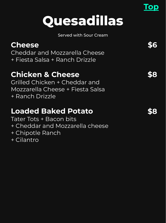# **Quesadillas**

**[Top](#page-0-0)**

Served with Sour Cream

<span id="page-4-0"></span>

| <b>Cheese</b><br>Cheddar and Mozzarella Cheese<br>+ Fiesta Salsa + Ranch Drizzle                                           |  |
|----------------------------------------------------------------------------------------------------------------------------|--|
| <b>Chicken &amp; Cheese</b><br>Grilled Chicken + Cheddar and<br>Mozzarella Cheese + Fiesta Salsa<br>+ Ranch Drizzle        |  |
| <b>Loaded Baked Potato</b><br>Tater Tots + Bacon bits<br>+ Cheddar and Mozzarella cheese<br>+ Chipotle Ranch<br>+ Cilantro |  |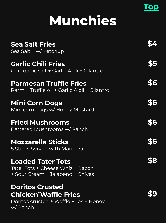# **Munchies**

<span id="page-5-0"></span>

| <b>Sea Salt Fries</b><br>Sea Salt + w/ Ketchup                                                             |     |
|------------------------------------------------------------------------------------------------------------|-----|
| <b>Garlic Chili Fries</b><br>Chili garlic salt + Garlic Aioli + Cilantro                                   | \$5 |
| <b>Parmesan Truffle Fries</b><br>Parm + Truffle oil + Garlic Aioli + Cilantro                              | \$6 |
| <b>Mini Corn Dogs</b><br>Mini corn dogs w/ Honey Mustard                                                   | \$6 |
| <b>Fried Mushrooms</b><br>Battered Mushrooms w/ Ranch                                                      | \$6 |
| <b>Mozzarella Sticks</b><br>5 Sticks Served with Marinara                                                  | \$6 |
| <b>Loaded Tater Tots</b><br>Tater Tots + Cheese Whiz + Bacon<br>+ Sour Cream + Jalapeno + Chives           |     |
| <b>Doritos Crusted</b><br><b>Chicken'Waffle Fries</b><br>Doritos crusted + Waffle Fries + Honey<br>w/Ranch |     |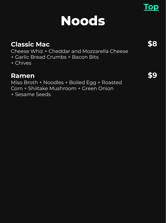# **Noods**

#### <span id="page-6-0"></span>**Classic Mac**

Cheese Whiz + Cheddar and Mozzarella Cheese + Garlic Bread Crumbs + Bacon Bits

+ Chives

#### **Ramen**

Miso Broth + Noodles + Boiled Egg + Roasted Corn + Shiitake Mushroom + Green Onion + Sesame Seeds

**\$9**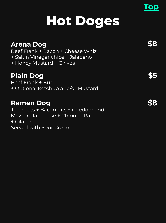# **Hot Doges**

<span id="page-7-0"></span>

| <b>Arena Dog</b><br>Beef Frank + Bacon + Cheese Whiz<br>+ Salt n Vinegar chips + Jalapeno<br>+ Honey Mustard + Chives                   |  |
|-----------------------------------------------------------------------------------------------------------------------------------------|--|
| <b>Plain Dog</b><br>Beef Frank + Bun<br>+ Optional Ketchup and/or Mustard                                                               |  |
| <b>Ramen Dog</b><br>Tater Tots + Bacon bits + Cheddar and<br>Mozzarella cheese + Chipotle Ranch<br>+ Cilantro<br>Served with Sour Cream |  |